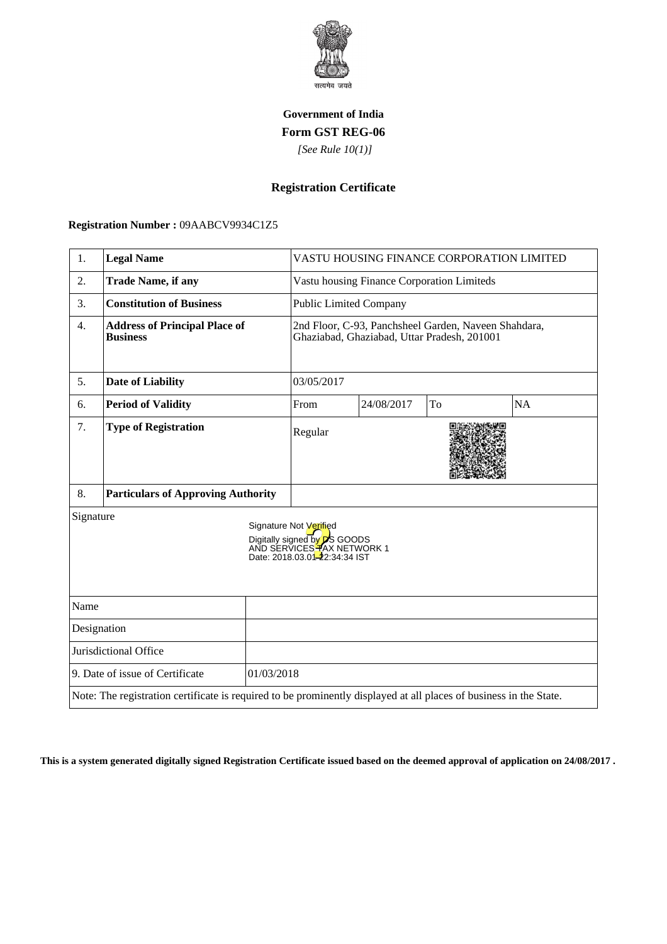

## **Government of India Form GST REG-06**

 *[See Rule 10(1)]*

## **Registration Certificate**

 **Registration Number :** 09AABCV9934C1Z5

| 1.                                            | <b>Legal Name</b>                                                                                                  |  | VASTU HOUSING FINANCE CORPORATION LIMITED                                                                                     |            |    |           |
|-----------------------------------------------|--------------------------------------------------------------------------------------------------------------------|--|-------------------------------------------------------------------------------------------------------------------------------|------------|----|-----------|
| 2.                                            | <b>Trade Name, if any</b>                                                                                          |  | Vastu housing Finance Corporation Limiteds                                                                                    |            |    |           |
| 3.                                            | <b>Constitution of Business</b>                                                                                    |  | <b>Public Limited Company</b>                                                                                                 |            |    |           |
| 4.                                            | <b>Address of Principal Place of</b><br><b>Business</b>                                                            |  | 2nd Floor, C-93, Panchsheel Garden, Naveen Shahdara,<br>Ghaziabad, Ghaziabad, Uttar Pradesh, 201001                           |            |    |           |
| 5.                                            | <b>Date of Liability</b>                                                                                           |  | 03/05/2017                                                                                                                    |            |    |           |
| 6.                                            | <b>Period of Validity</b>                                                                                          |  | From                                                                                                                          | 24/08/2017 | To | <b>NA</b> |
| 7.                                            | <b>Type of Registration</b>                                                                                        |  | Regular                                                                                                                       |            |    |           |
| 8.                                            | <b>Particulars of Approving Authority</b>                                                                          |  |                                                                                                                               |            |    |           |
| Signature                                     |                                                                                                                    |  | Signature Not Verified<br>Digitally signed by <b>D</b> S GOODS<br>AND SERVICES TAX NETWORK 1<br>Date: 2018.03.01-22:34:34 IST |            |    |           |
| Name                                          |                                                                                                                    |  |                                                                                                                               |            |    |           |
| Designation                                   |                                                                                                                    |  |                                                                                                                               |            |    |           |
| Jurisdictional Office                         |                                                                                                                    |  |                                                                                                                               |            |    |           |
| 9. Date of issue of Certificate<br>01/03/2018 |                                                                                                                    |  |                                                                                                                               |            |    |           |
|                                               | Note: The registration certificate is required to be prominently displayed at all places of business in the State. |  |                                                                                                                               |            |    |           |

**This is a system generated digitally signed Registration Certificate issued based on the deemed approval of application on 24/08/2017 .**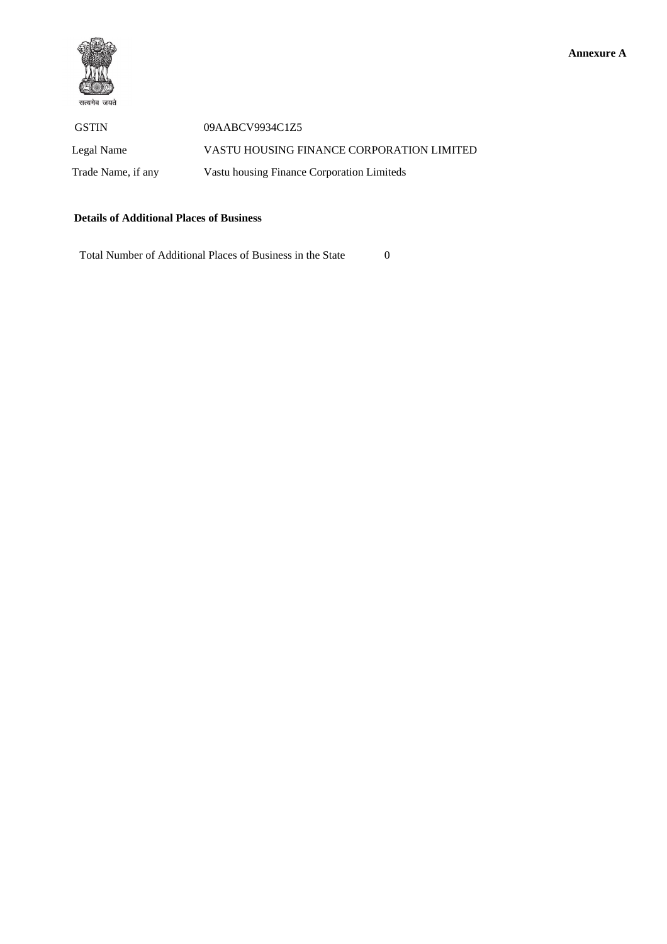

GSTIN 09AABCV9934C1Z5 Legal Name VASTU HOUSING FINANCE CORPORATION LIMITED Trade Name, if any Vastu housing Finance Corporation Limiteds

## **Details of Additional Places of Business**

Total Number of Additional Places of Business in the State 0